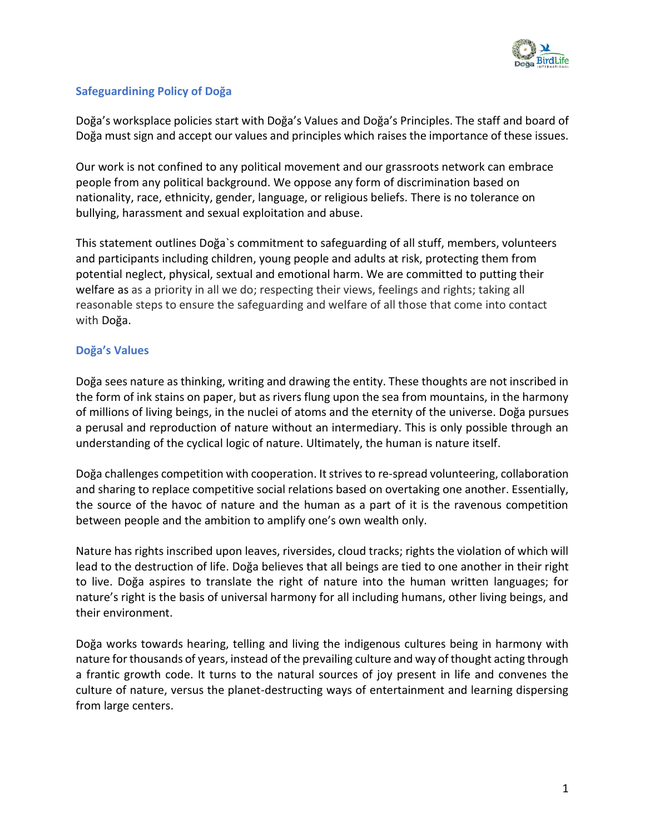

## **Safeguardining Policy of Doğa**

Doğa's worksplace policies start with Doğa's Values and Doğa's Principles. The staff and board of Doğa must sign and accept our values and principles which raises the importance of these issues.

Our work is not confined to any political movement and our grassroots network can embrace people from any political background. We oppose any form of discrimination based on nationality, race, ethnicity, gender, language, or religious beliefs. There is no tolerance on bullying, harassment and sexual exploitation and abuse.

This statement outlines Doğa`s commitment to safeguarding of all stuff, members, volunteers and participants including children, young people and adults at risk, protecting them from potential neglect, physical, sextual and emotional harm. We are committed to putting their welfare as as a priority in all we do; respecting their views, feelings and rights; taking all reasonable steps to ensure the safeguarding and welfare of all those that come into contact with Doğa.

## **Doğa's Values**

Doğa sees nature as thinking, writing and drawing the entity. These thoughts are not inscribed in the form of ink stains on paper, but as rivers flung upon the sea from mountains, in the harmony of millions of living beings, in the nuclei of atoms and the eternity of the universe. Doğa pursues a perusal and reproduction of nature without an intermediary. This is only possible through an understanding of the cyclical logic of nature. Ultimately, the human is nature itself.

Doğa challenges competition with cooperation. It strives to re-spread volunteering, collaboration and sharing to replace competitive social relations based on overtaking one another. Essentially, the source of the havoc of nature and the human as a part of it is the ravenous competition between people and the ambition to amplify one's own wealth only.

Nature has rights inscribed upon leaves, riversides, cloud tracks; rights the violation of which will lead to the destruction of life. Doğa believes that all beings are tied to one another in their right to live. Doğa aspires to translate the right of nature into the human written languages; for nature's right is the basis of universal harmony for all including humans, other living beings, and their environment.

Doğa works towards hearing, telling and living the indigenous cultures being in harmony with nature for thousands of years, instead of the prevailing culture and way of thought acting through a frantic growth code. It turns to the natural sources of joy present in life and convenes the culture of nature, versus the planet-destructing ways of entertainment and learning dispersing from large centers.